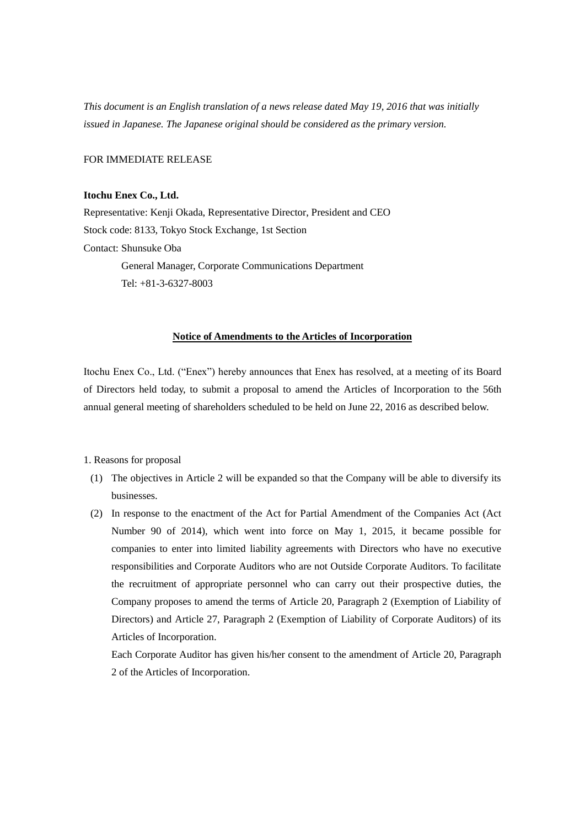*This document is an English translation of a news release dated May 19, 2016 that was initially issued in Japanese. The Japanese original should be considered as the primary version.*

FOR IMMEDIATE RELEASE

#### **Itochu Enex Co., Ltd.**

Representative: Kenji Okada, Representative Director, President and CEO Stock code: 8133, Tokyo Stock Exchange, 1st Section Contact: Shunsuke Oba General Manager, Corporate Communications Department Tel: +81-3-6327-8003

### **Notice of Amendments to the Articles of Incorporation**

Itochu Enex Co., Ltd. ("Enex") hereby announces that Enex has resolved, at a meeting of its Board of Directors held today, to submit a proposal to amend the Articles of Incorporation to the 56th annual general meeting of shareholders scheduled to be held on June 22, 2016 as described below.

### 1. Reasons for proposal

- (1) The objectives in Article 2 will be expanded so that the Company will be able to diversify its businesses.
- (2) In response to the enactment of the Act for Partial Amendment of the Companies Act (Act Number 90 of 2014), which went into force on May 1, 2015, it became possible for companies to enter into limited liability agreements with Directors who have no executive responsibilities and Corporate Auditors who are not Outside Corporate Auditors. To facilitate the recruitment of appropriate personnel who can carry out their prospective duties, the Company proposes to amend the terms of Article 20, Paragraph 2 (Exemption of Liability of Directors) and Article 27, Paragraph 2 (Exemption of Liability of Corporate Auditors) of its Articles of Incorporation.

Each Corporate Auditor has given his/her consent to the amendment of Article 20, Paragraph 2 of the Articles of Incorporation.